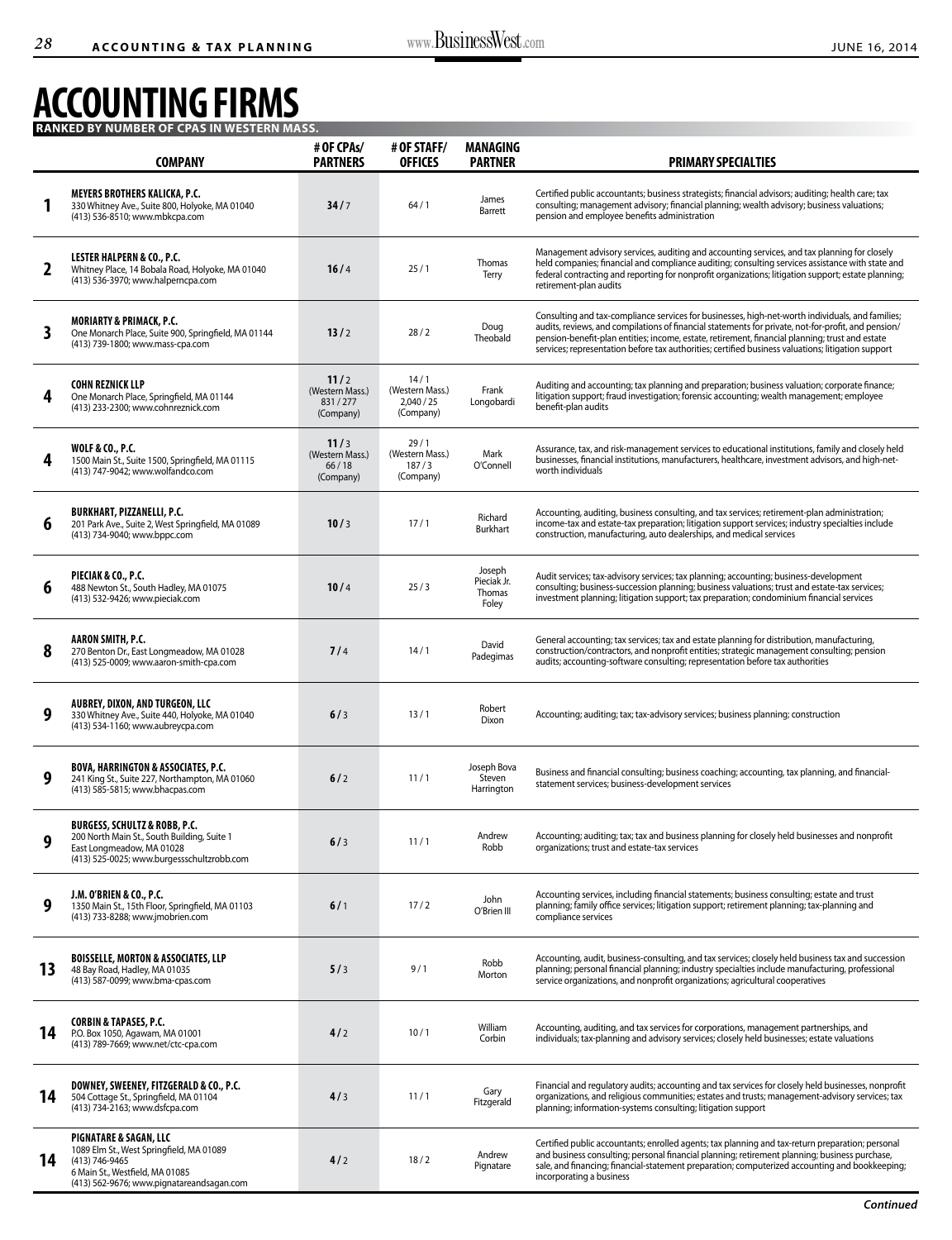## **ACCOUNTING FIRMS**

|              | <b>COMPANY</b>                                                                                                                                                                  | # OF CPAs/<br><b>PARTNERS</b>                   | # OF STAFF/<br><b>OFFICES</b>                    | <b>MANAGING</b><br><b>PARTNER</b>        | <b>PRIMARY SPECIALTIES</b>                                                                                                                                                                                                                                                                                                                                                                                       |
|--------------|---------------------------------------------------------------------------------------------------------------------------------------------------------------------------------|-------------------------------------------------|--------------------------------------------------|------------------------------------------|------------------------------------------------------------------------------------------------------------------------------------------------------------------------------------------------------------------------------------------------------------------------------------------------------------------------------------------------------------------------------------------------------------------|
|              | <b>MEYERS BROTHERS KALICKA, P.C.</b><br>330 Whitney Ave., Suite 800, Holyoke, MA 01040<br>(413) 536-8510; www.mbkcpa.com                                                        | 34/7                                            | 64/1                                             | James<br>Barrett                         | Certified public accountants; business strategists; financial advisors; auditing; health care; tax<br>consulting; management advisory; financial planning; wealth advisory; business valuations;<br>pension and employee benefits administration                                                                                                                                                                 |
| $\mathbf{2}$ | <b>LESTER HALPERN &amp; CO., P.C.</b><br>Whitney Place, 14 Bobala Road, Holyoke, MA 01040<br>(413) 536-3970; www.halperncpa.com                                                 | 16/4                                            | 25/1                                             | Thomas<br>Terry                          | Management advisory services, auditing and accounting services, and tax planning for closely<br>held companies; financial and compliance auditing; consulting services assistance with state and<br>federal contracting and reporting for nonprofit organizations; litigation support; estate planning;<br>retirement-plan audits                                                                                |
| 3            | <b>MORIARTY &amp; PRIMACK, P.C.</b><br>One Monarch Place, Suite 900, Springfield, MA 01144<br>(413) 739-1800; www.mass-cpa.com                                                  | 13/2                                            | 28/2                                             | Doug<br>Theobald                         | Consulting and tax-compliance services for businesses, high-net-worth individuals, and families;<br>audits, reviews, and compilations of financial statements for private, not-for-profit, and pension/<br>pension-benefit-plan entities; income, estate, retirement, financial planning; trust and estate<br>services; representation before tax authorities; certified business valuations; litigation support |
| 4            | <b>COHN REZNICK LLP</b><br>One Monarch Place, Springfield, MA 01144<br>(413) 233-2300; www.cohnreznick.com                                                                      | 11/2<br>(Western Mass.)<br>831/277<br>(Company) | 14/1<br>(Western Mass.)<br>2,040/25<br>(Company) | Frank<br>Longobardi                      | Auditing and accounting; tax planning and preparation; business valuation; corporate finance;<br>litigation support; fraud investigation; forensic accounting; wealth management; employee<br>benefit-plan audits                                                                                                                                                                                                |
| 4            | <b>WOLF &amp; CO., P.C.</b><br>1500 Main St., Suite 1500, Springfield, MA 01115<br>(413) 747-9042; www.wolfandco.com                                                            | 11/3<br>(Western Mass.)<br>66/18<br>(Company)   | 29/1<br>(Western Mass.)<br>187/3<br>(Company)    | Mark<br>O'Connell                        | Assurance, tax, and risk-management services to educational institutions, family and closely held<br>businesses, financial institutions, manufacturers, healthcare, investment advisors, and high-net-<br>worth individuals                                                                                                                                                                                      |
| 6            | <b>BURKHART, PIZZANELLI, P.C.</b><br>201 Park Ave., Suite 2, West Springfield, MA 01089<br>(413) 734-9040; www.bppc.com                                                         | 10/3                                            | 17/1                                             | Richard<br><b>Burkhart</b>               | Accounting, auditing, business consulting, and tax services; retirement-plan administration;<br>income-tax and estate-tax preparation; litigation support services; industry specialties include<br>construction, manufacturing, auto dealerships, and medical services                                                                                                                                          |
| 6            | PIECIAK & CO., P.C.<br>488 Newton St., South Hadley, MA 01075<br>(413) 532-9426; www.pieciak.com                                                                                | 10/4                                            | 25/3                                             | Joseph<br>Pieciak Jr.<br>Thomas<br>Foley | Audit services; tax-advisory services; tax planning; accounting; business-development<br>consulting; business-succession planning; business valuations; trust and estate-tax services;<br>investment planning; litigation support; tax preparation; condominium financial services                                                                                                                               |
| 8            | <b>AARON SMITH, P.C.</b><br>270 Benton Dr., East Longmeadow, MA 01028<br>(413) 525-0009; www.aaron-smith-cpa.com                                                                | 7/4                                             | 14/1                                             | David<br>Padegimas                       | General accounting; tax services; tax and estate planning for distribution, manufacturing,<br>construction/contractors, and nonprofit entities; strategic management consulting; pension<br>audits; accounting-software consulting; representation before tax authorities                                                                                                                                        |
| 9            | AUBREY, DIXON, AND TURGEON, LLC<br>330 Whitney Ave., Suite 440, Holyoke, MA 01040<br>(413) 534-1160; www.aubreycpa.com                                                          | 6/3                                             | 13/1                                             | Robert<br><b>Dixon</b>                   | Accounting; auditing; tax; tax-advisory services; business planning; construction                                                                                                                                                                                                                                                                                                                                |
| 9            | <b>BOVA, HARRINGTON &amp; ASSOCIATES, P.C.</b><br>241 King St., Suite 227, Northampton, MA 01060<br>(413) 585-5815; www.bhacpas.com                                             | 6/2                                             | 11/1                                             | Joseph Bova<br>Steven<br>Harrington      | Business and financial consulting; business coaching; accounting, tax planning, and financial-<br>statement services; business-development services                                                                                                                                                                                                                                                              |
| 9            | <b>BURGESS, SCHULTZ &amp; ROBB, P.C.</b><br>200 North Main St., South Building, Suite 1<br>East Longmeadow, MA 01028<br>(413) 525-0025; www.burgessschultzrobb.com              | 6/3                                             | 11/1                                             | Andrew<br>Robb                           | Accounting; auditing; tax; tax and business planning for closely held businesses and nonprofit<br>organizations; trust and estate-tax services                                                                                                                                                                                                                                                                   |
| 9            | J.M. O'BRIEN & CO., P.C.<br>1350 Main St., 15th Floor, Springfield, MA 01103<br>(413) 733-8288; www.jmobrien.com                                                                | 6/1                                             | 17/2                                             | John<br>O'Brien III                      | Accounting services, including financial statements; business consulting; estate and trust<br>planning; family office services; litigation support; retirement planning; tax-planning and<br>compliance services                                                                                                                                                                                                 |
| 13           | <b>BOISSELLE, MORTON &amp; ASSOCIATES, LLP</b><br>48 Bay Road, Hadley, MA 01035<br>(413) 587-0099; www.bma-cpas.com                                                             | 5/3                                             | 9/1                                              | Robb<br>Morton                           | Accounting, audit, business-consulting, and tax services; closely held business tax and succession<br>planning; personal financial planning; industry specialties include manufacturing, professional<br>service organizations, and nonprofit organizations; agricultural cooperatives                                                                                                                           |
| 14           | <b>CORBIN &amp; TAPASES, P.C.</b><br>P.O. Box 1050, Agawam, MA 01001<br>(413) 789-7669; www.net/ctc-cpa.com                                                                     | 4/2                                             | 10/1                                             | William<br>Corbin                        | Accounting, auditing, and tax services for corporations, management partnerships, and<br>individuals; tax-planning and advisory services; closely held businesses; estate valuations                                                                                                                                                                                                                             |
| 14           | DOWNEY, SWEENEY, FITZGERALD & CO., P.C.<br>504 Cottage St., Springfield, MA 01104<br>(413) 734-2163; www.dsfcpa.com                                                             | 4/3                                             | 11/1                                             | Gary<br>Fitzgerald                       | Financial and regulatory audits; accounting and tax services for closely held businesses, nonprofit<br>organizations, and religious communities; estates and trusts; management-advisory services; tax<br>planning; information-systems consulting; litigation support                                                                                                                                           |
| 14           | <b>PIGNATARE &amp; SAGAN, LLC</b><br>1089 Elm St., West Springfield, MA 01089<br>(413) 746-9465<br>6 Main St., Westfield, MA 01085<br>(413) 562-9676; www.pignatareandsagan.com | 4/2                                             | 18/2                                             | Andrew<br>Pignatare                      | Certified public accountants; enrolled agents; tax planning and tax-return preparation; personal<br>and business consulting; personal financial planning; retirement planning; business purchase,<br>sale, and financing; financial-statement preparation; computerized accounting and bookkeeping;<br>incorporating a business                                                                                  |